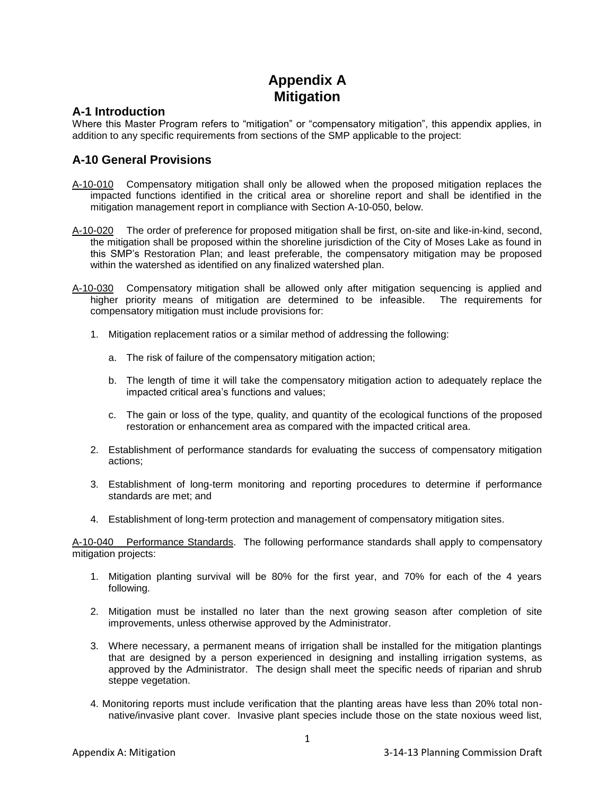## **Appendix A Mitigation**

## **A-1 Introduction**

Where this Master Program refers to "mitigation" or "compensatory mitigation", this appendix applies, in addition to any specific requirements from sections of the SMP applicable to the project:

## **A-10 General Provisions**

- A-10-010 Compensatory mitigation shall only be allowed when the proposed mitigation replaces the impacted functions identified in the critical area or shoreline report and shall be identified in the mitigation management report in compliance with Section A-10-050, below.
- A-10-020 The order of preference for proposed mitigation shall be first, on-site and like-in-kind, second, the mitigation shall be proposed within the shoreline jurisdiction of the City of Moses Lake as found in this SMP's Restoration Plan; and least preferable, the compensatory mitigation may be proposed within the watershed as identified on any finalized watershed plan.
- A-10-030 Compensatory mitigation shall be allowed only after mitigation sequencing is applied and higher priority means of mitigation are determined to be infeasible. The requirements for compensatory mitigation must include provisions for:
	- 1. Mitigation replacement ratios or a similar method of addressing the following:
		- a. The risk of failure of the compensatory mitigation action;
		- b. The length of time it will take the compensatory mitigation action to adequately replace the impacted critical area's functions and values;
		- c. The gain or loss of the type, quality, and quantity of the ecological functions of the proposed restoration or enhancement area as compared with the impacted critical area.
	- 2. Establishment of performance standards for evaluating the success of compensatory mitigation actions;
	- 3. Establishment of long-term monitoring and reporting procedures to determine if performance standards are met; and
	- 4. Establishment of long-term protection and management of compensatory mitigation sites.

A-10-040 Performance Standards. The following performance standards shall apply to compensatory mitigation projects:

- 1. Mitigation planting survival will be 80% for the first year, and 70% for each of the 4 years following.
- 2. Mitigation must be installed no later than the next growing season after completion of site improvements, unless otherwise approved by the Administrator.
- 3. Where necessary, a permanent means of irrigation shall be installed for the mitigation plantings that are designed by a person experienced in designing and installing irrigation systems, as approved by the Administrator. The design shall meet the specific needs of riparian and shrub steppe vegetation.
- 4. Monitoring reports must include verification that the planting areas have less than 20% total nonnative/invasive plant cover. Invasive plant species include those on the state noxious weed list,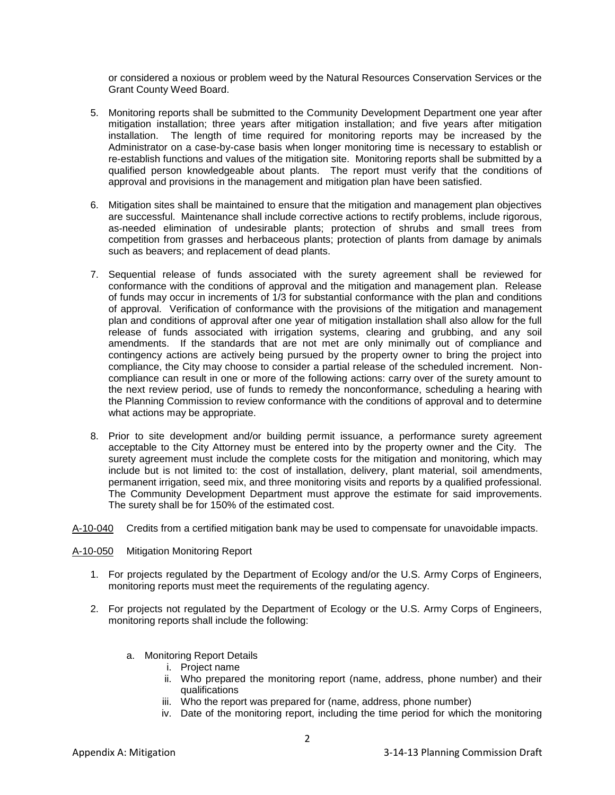or considered a noxious or problem weed by the Natural Resources Conservation Services or the Grant County Weed Board.

- 5. Monitoring reports shall be submitted to the Community Development Department one year after mitigation installation; three years after mitigation installation; and five years after mitigation installation. The length of time required for monitoring reports may be increased by the Administrator on a case-by-case basis when longer monitoring time is necessary to establish or re-establish functions and values of the mitigation site. Monitoring reports shall be submitted by a qualified person knowledgeable about plants. The report must verify that the conditions of approval and provisions in the management and mitigation plan have been satisfied.
- 6. Mitigation sites shall be maintained to ensure that the mitigation and management plan objectives are successful. Maintenance shall include corrective actions to rectify problems, include rigorous, as-needed elimination of undesirable plants; protection of shrubs and small trees from competition from grasses and herbaceous plants; protection of plants from damage by animals such as beavers; and replacement of dead plants.
- 7. Sequential release of funds associated with the surety agreement shall be reviewed for conformance with the conditions of approval and the mitigation and management plan. Release of funds may occur in increments of 1/3 for substantial conformance with the plan and conditions of approval. Verification of conformance with the provisions of the mitigation and management plan and conditions of approval after one year of mitigation installation shall also allow for the full release of funds associated with irrigation systems, clearing and grubbing, and any soil amendments. If the standards that are not met are only minimally out of compliance and contingency actions are actively being pursued by the property owner to bring the project into compliance, the City may choose to consider a partial release of the scheduled increment. Noncompliance can result in one or more of the following actions: carry over of the surety amount to the next review period, use of funds to remedy the nonconformance, scheduling a hearing with the Planning Commission to review conformance with the conditions of approval and to determine what actions may be appropriate.
- 8. Prior to site development and/or building permit issuance, a performance surety agreement acceptable to the City Attorney must be entered into by the property owner and the City. The surety agreement must include the complete costs for the mitigation and monitoring, which may include but is not limited to: the cost of installation, delivery, plant material, soil amendments, permanent irrigation, seed mix, and three monitoring visits and reports by a qualified professional. The Community Development Department must approve the estimate for said improvements. The surety shall be for 150% of the estimated cost.
- A-10-040 Credits from a certified mitigation bank may be used to compensate for unavoidable impacts.
- A-10-050 Mitigation Monitoring Report
	- 1. For projects regulated by the Department of Ecology and/or the U.S. Army Corps of Engineers, monitoring reports must meet the requirements of the regulating agency.
	- 2. For projects not regulated by the Department of Ecology or the U.S. Army Corps of Engineers, monitoring reports shall include the following:
		- a. Monitoring Report Details
			- i. Project name
			- ii. Who prepared the monitoring report (name, address, phone number) and their qualifications
			- iii. Who the report was prepared for (name, address, phone number)
			- iv. Date of the monitoring report, including the time period for which the monitoring